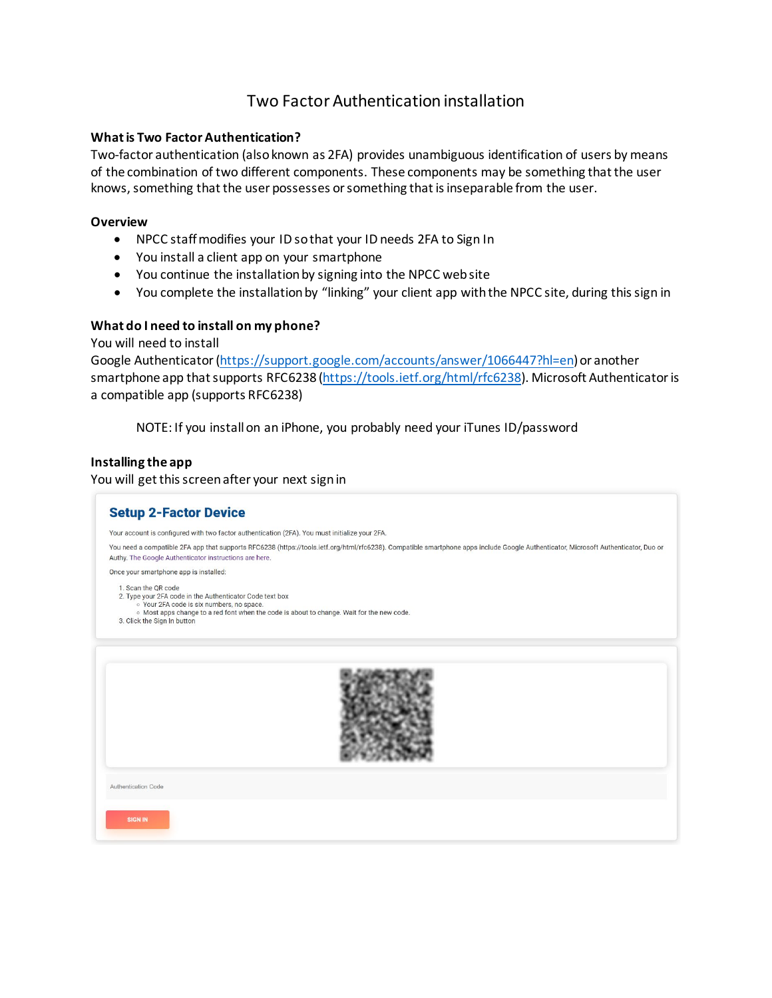## Two Factor Authentication installation

## **What is Two Factor Authentication?**

Two-factor authentication (also known as 2FA) provides unambiguous identification of users by means of the combination of two different components. These components may be something that the user knows, something that the user possesses or something that is inseparable from the user.

## **Overview**

- NPCC staff modifies your ID so that your ID needs 2FA to Sign In
- You install a client app on your smartphone
- You continue the installation by signing into the NPCC web site
- You complete the installation by "linking" your client app with the NPCC site, during this sign in

## **What do I need to install on my phone?**

You will need to install

Google Authenticator [\(https://support.google.com/accounts/answer/1066447?hl=en](https://support.google.com/accounts/answer/1066447?hl=en)) or another smartphone app that supports RFC6238 [\(https://tools.ietf.org/html/rfc6238\)](https://tools.ietf.org/html/rfc6238). Microsoft Authenticator is a compatible app (supports RFC6238)

NOTE: If you install on an iPhone, you probably need your iTunes ID/password

## **Installing the app**

You will get this screen after your next sign in

| <b>Setup 2-Factor Device</b>                                                                                                                                                                                                                             |
|----------------------------------------------------------------------------------------------------------------------------------------------------------------------------------------------------------------------------------------------------------|
| Your account is configured with two factor authentication (2FA). You must initialize your 2FA.                                                                                                                                                           |
| You need a compatible 2FA app that supports RFC6238 (https://tools.ietf.org/html/rfc6238). Compatible smartphone apps include Google Authenticator, Microsoft Authenticator, Duo or<br>Authy. The Google Authenticator instructions are here.            |
| Once your smartphone app is installed:                                                                                                                                                                                                                   |
| 1. Scan the QR code<br>2. Type your 2FA code in the Authenticator Code text box<br>o Your 2FA code is six numbers, no space.<br>o Most apps change to a red font when the code is about to change. Wait for the new code.<br>3. Click the Sign In button |
|                                                                                                                                                                                                                                                          |
| Authentication Code                                                                                                                                                                                                                                      |
| <b>SIGN IN</b>                                                                                                                                                                                                                                           |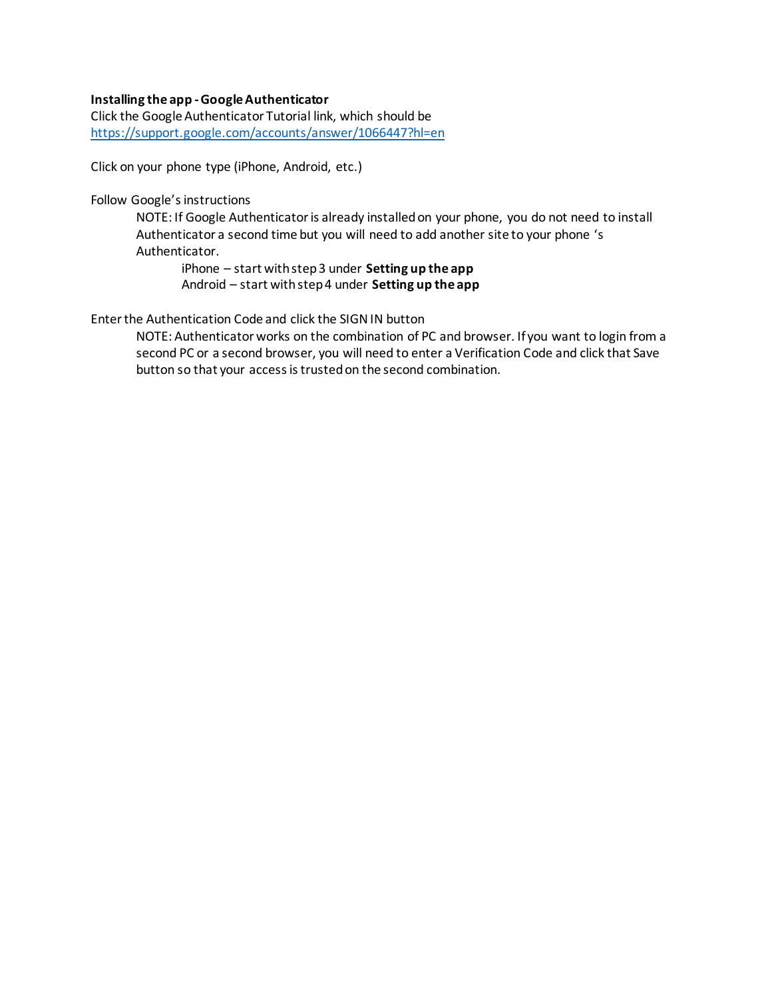## **Installing the app -Google Authenticator**

Click the Google Authenticator Tutorial link, which should be <https://support.google.com/accounts/answer/1066447?hl=en>

Click on your phone type (iPhone, Android, etc.)

Follow Google's instructions

NOTE: If Google Authenticator is already installed on your phone, you do not need to install Authenticator a second time but you will need to add another site to your phone 's Authenticator.

iPhone – start with step 3 under **Setting up the app** Android – start with step 4 under **Setting up the app**

Enter the Authentication Code and click the SIGN IN button

NOTE: Authenticator works on the combination of PC and browser. If you want to login from a second PC or a second browser, you will need to enter a Verification Code and click that Save button so that your access is trusted on the second combination.